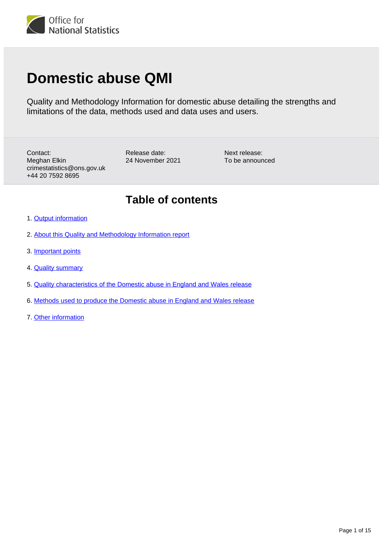

# **Domestic abuse QMI**

Quality and Methodology Information for domestic abuse detailing the strengths and limitations of the data, methods used and data uses and users.

Contact: Meghan Elkin crimestatistics@ons.gov.uk +44 20 7592 8695

Release date: 24 November 2021 Next release: To be announced

## **Table of contents**

- 1. [Output information](#page-1-0)
- 2. [About this Quality and Methodology Information report](#page-1-1)
- 3. [Important points](#page-1-2)
- 4. [Quality summary](#page-2-0)
- 5. [Quality characteristics of the Domestic abuse in England and Wales release](#page-6-0)
- 6. [Methods used to produce the Domestic abuse in England and Wales release](#page-8-0)
- 7. [Other information](#page-13-0)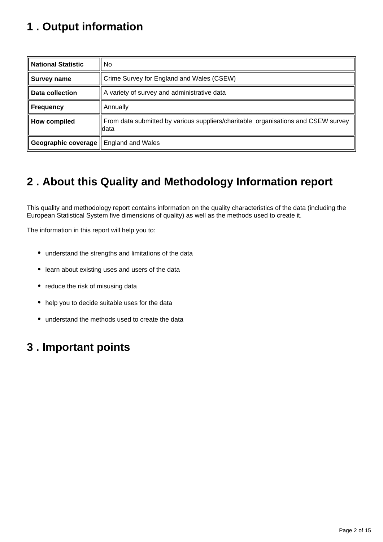## <span id="page-1-0"></span>**1 . Output information**

| <b>National Statistic</b> | No.                                                                                        |  |  |  |  |
|---------------------------|--------------------------------------------------------------------------------------------|--|--|--|--|
| <b>Survey name</b>        | Crime Survey for England and Wales (CSEW)                                                  |  |  |  |  |
| <b>Data collection</b>    | A variety of survey and administrative data                                                |  |  |  |  |
| <b>Frequency</b>          | Annually                                                                                   |  |  |  |  |
| <b>How compiled</b>       | From data submitted by various suppliers/charitable organisations and CSEW survey<br>ldata |  |  |  |  |
| Geographic coverage       | England and Wales                                                                          |  |  |  |  |

## <span id="page-1-1"></span>**2 . About this Quality and Methodology Information report**

This quality and methodology report contains information on the quality characteristics of the data (including the European Statistical System five dimensions of quality) as well as the methods used to create it.

The information in this report will help you to:

- understand the strengths and limitations of the data
- learn about existing uses and users of the data
- reduce the risk of misusing data
- help you to decide suitable uses for the data
- understand the methods used to create the data

## <span id="page-1-2"></span>**3 . Important points**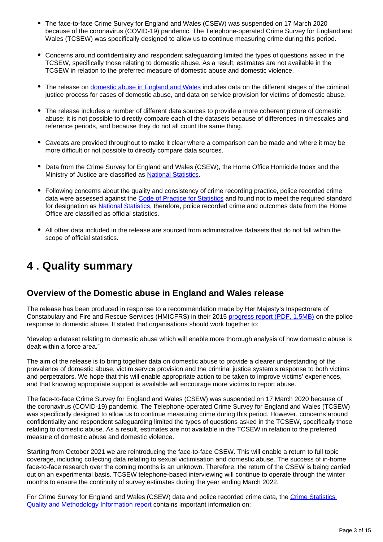- The face-to-face Crime Survey for England and Wales (CSEW) was suspended on 17 March 2020 because of the coronavirus (COVID-19) pandemic. The Telephone-operated Crime Survey for England and Wales (TCSEW) was specifically designed to allow us to continue measuring crime during this period.
- Concerns around confidentiality and respondent safeguarding limited the types of questions asked in the TCSEW, specifically those relating to domestic abuse. As a result, estimates are not available in the TCSEW in relation to the preferred measure of domestic abuse and domestic violence.
- The release on [domestic abuse in England and Wales](https://www.ons.gov.uk/peoplepopulationandcommunity/crimeandjustice/bulletins/domesticabuseinenglandandwalesoverview/latest) includes data on the different stages of the criminal justice process for cases of domestic abuse, and data on service provision for victims of domestic abuse.
- The release includes a number of different data sources to provide a more coherent picture of domestic abuse; it is not possible to directly compare each of the datasets because of differences in timescales and reference periods, and because they do not all count the same thing.
- Caveats are provided throughout to make it clear where a comparison can be made and where it may be more difficult or not possible to directly compare data sources.
- Data from the Crime Survey for England and Wales (CSEW), the Home Office Homicide Index and the Ministry of Justice are classified as [National Statistics.](https://www.statisticsauthority.gov.uk/national-statistician/types-of-official-statistics/)
- Following concerns about the quality and consistency of crime recording practice, police recorded crime data were assessed against the [Code of Practice for Statistics](https://code.statisticsauthority.gov.uk/) and found not to meet the required standard for designation as [National Statistics](https://uksa.statisticsauthority.gov.uk/publication/statistics-on-crime-in-england-and-wales/), therefore, police recorded crime and outcomes data from the Home Office are classified as official statistics.
- All other data included in the release are sourced from administrative datasets that do not fall within the scope of official statistics.

### <span id="page-2-0"></span>**4 . Quality summary**

#### **Overview of the Domestic abuse in England and Wales release**

The release has been produced in response to a recommendation made by Her Majesty's Inspectorate of Constabulary and Fire and Rescue Services (HMICFRS) in their 2015 [progress report \(PDF, 1.5MB\)](http://www.justiceinspectorates.gov.uk/hmic/wp-content/uploads/increasingly-everyones-business-domestic-abuse-progress-report.pdf) on the police response to domestic abuse. It stated that organisations should work together to:

"develop a dataset relating to domestic abuse which will enable more thorough analysis of how domestic abuse is dealt within a force area."

The aim of the release is to bring together data on domestic abuse to provide a clearer understanding of the prevalence of domestic abuse, victim service provision and the criminal justice system's response to both victims and perpetrators. We hope that this will enable appropriate action to be taken to improve victims' experiences, and that knowing appropriate support is available will encourage more victims to report abuse.

The face-to-face Crime Survey for England and Wales (CSEW) was suspended on 17 March 2020 because of the coronavirus (COVID-19) pandemic. The Telephone-operated Crime Survey for England and Wales (TCSEW) was specifically designed to allow us to continue measuring crime during this period. However, concerns around confidentiality and respondent safeguarding limited the types of questions asked in the TCSEW, specifically those relating to domestic abuse. As a result, estimates are not available in the TCSEW in relation to the preferred measure of domestic abuse and domestic violence.

Starting from October 2021 we are reintroducing the face-to-face CSEW. This will enable a return to full topic coverage, including collecting data relating to sexual victimisation and domestic abuse. The success of in-home face-to-face research over the coming months is an unknown. Therefore, the return of the CSEW is being carried out on an experimental basis. TCSEW telephone-based interviewing will continue to operate through the winter months to ensure the continuity of survey estimates during the year ending March 2022.

For Crime Survey for England and Wales (CSEW) data and police recorded crime data, the [Crime Statistics](https://www.ons.gov.uk/peoplepopulationandcommunity/crimeandjustice/methodologies/crimeinenglandandwalesqmi)  [Quality and Methodology Information report](https://www.ons.gov.uk/peoplepopulationandcommunity/crimeandjustice/methodologies/crimeinenglandandwalesqmi) contains important information on: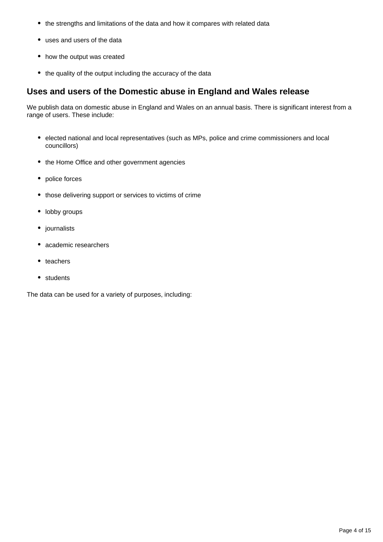- the strengths and limitations of the data and how it compares with related data
- uses and users of the data
- how the output was created
- the quality of the output including the accuracy of the data

#### **Uses and users of the Domestic abuse in England and Wales release**

We publish data on domestic abuse in England and Wales on an annual basis. There is significant interest from a range of users. These include:

- elected national and local representatives (such as MPs, police and crime commissioners and local councillors)
- the Home Office and other government agencies
- police forces
- those delivering support or services to victims of crime
- lobby groups
- journalists
- academic researchers
- teachers
- students

The data can be used for a variety of purposes, including: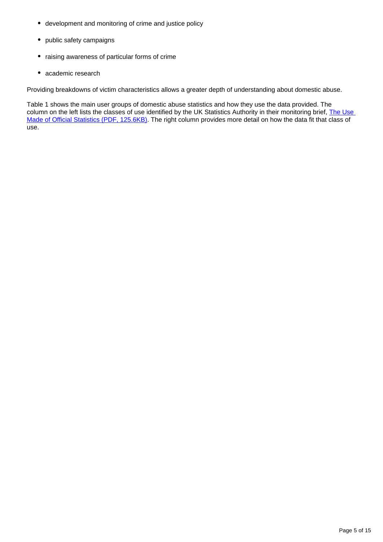- development and monitoring of crime and justice policy
- public safety campaigns
- raising awareness of particular forms of crime
- academic research

Providing breakdowns of victim characteristics allows a greater depth of understanding about domestic abuse.

Table 1 shows the main user groups of domestic abuse statistics and how they use the data provided. The column on the left lists the classes of use identified by the UK Statistics Authority in their monitoring brief, The Use [Made of Official Statistics \(PDF, 125.6KB\).](https://uksa.statisticsauthority.gov.uk/publication/the-use-made-of-official-statistics/) The right column provides more detail on how the data fit that class of use.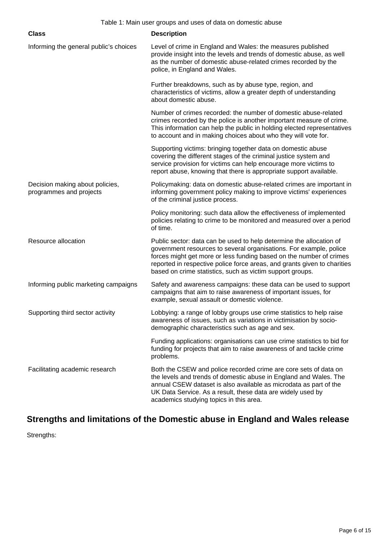| <b>Class</b>                                               | <b>Description</b>                                                                                                                                                                                                                                                                                                                                        |  |  |
|------------------------------------------------------------|-----------------------------------------------------------------------------------------------------------------------------------------------------------------------------------------------------------------------------------------------------------------------------------------------------------------------------------------------------------|--|--|
| Informing the general public's choices                     | Level of crime in England and Wales: the measures published<br>provide insight into the levels and trends of domestic abuse, as well<br>as the number of domestic abuse-related crimes recorded by the<br>police, in England and Wales.                                                                                                                   |  |  |
|                                                            | Further breakdowns, such as by abuse type, region, and<br>characteristics of victims, allow a greater depth of understanding<br>about domestic abuse.                                                                                                                                                                                                     |  |  |
|                                                            | Number of crimes recorded: the number of domestic abuse-related<br>crimes recorded by the police is another important measure of crime.<br>This information can help the public in holding elected representatives<br>to account and in making choices about who they will vote for.                                                                      |  |  |
|                                                            | Supporting victims: bringing together data on domestic abuse<br>covering the different stages of the criminal justice system and<br>service provision for victims can help encourage more victims to<br>report abuse, knowing that there is appropriate support available.                                                                                |  |  |
| Decision making about policies,<br>programmes and projects | Policymaking: data on domestic abuse-related crimes are important in<br>informing government policy making to improve victims' experiences<br>of the criminal justice process.                                                                                                                                                                            |  |  |
|                                                            | Policy monitoring: such data allow the effectiveness of implemented<br>policies relating to crime to be monitored and measured over a period<br>of time.                                                                                                                                                                                                  |  |  |
| Resource allocation                                        | Public sector: data can be used to help determine the allocation of<br>government resources to several organisations. For example, police<br>forces might get more or less funding based on the number of crimes<br>reported in respective police force areas, and grants given to charities<br>based on crime statistics, such as victim support groups. |  |  |
| Informing public marketing campaigns                       | Safety and awareness campaigns: these data can be used to support<br>campaigns that aim to raise awareness of important issues, for<br>example, sexual assault or domestic violence.                                                                                                                                                                      |  |  |
| Supporting third sector activity                           | Lobbying: a range of lobby groups use crime statistics to help raise<br>awareness of issues, such as variations in victimisation by socio-<br>demographic characteristics such as age and sex.                                                                                                                                                            |  |  |
|                                                            | Funding applications: organisations can use crime statistics to bid for<br>funding for projects that aim to raise awareness of and tackle crime<br>problems.                                                                                                                                                                                              |  |  |
| Facilitating academic research                             | Both the CSEW and police recorded crime are core sets of data on<br>the levels and trends of domestic abuse in England and Wales. The<br>annual CSEW dataset is also available as microdata as part of the<br>UK Data Service. As a result, these data are widely used by<br>academics studying topics in this area.                                      |  |  |

### **Strengths and limitations of the Domestic abuse in England and Wales release**

Strengths: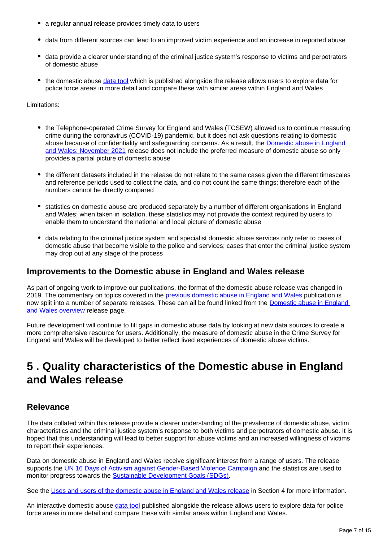- a regular annual release provides timely data to users
- data from different sources can lead to an improved victim experience and an increase in reported abuse
- data provide a clearer understanding of the criminal justice system's response to victims and perpetrators of domestic abuse
- the domestic abuse [data tool](https://www.ons.gov.uk/peoplepopulationandcommunity/crimeandjustice/datasets/domesticabuseinenglandandwalesdatatool) which is published alongside the release allows users to explore data for police force areas in more detail and compare these with similar areas within England and Wales

#### Limitations:

- the Telephone-operated Crime Survey for England and Wales (TCSEW) allowed us to continue measuring crime during the coronavirus (COVID-19) pandemic, but it does not ask questions relating to domestic abuse because of confidentiality and safeguarding concerns. As a result, the Domestic abuse in England [and Wales: November 2021](https://www.ons.gov.uk/peoplepopulationandcommunity/crimeandjustice/bulletins/domesticabuseinenglandandwalesoverview/november2021) release does not include the preferred measure of domestic abuse so only provides a partial picture of domestic abuse
- the different datasets included in the release do not relate to the same cases given the different timescales and reference periods used to collect the data, and do not count the same things; therefore each of the numbers cannot be directly compared
- statistics on domestic abuse are produced separately by a number of different organisations in England and Wales; when taken in isolation, these statistics may not provide the context required by users to enable them to understand the national and local picture of domestic abuse
- data relating to the criminal justice system and specialist domestic abuse services only refer to cases of domestic abuse that become visible to the police and services; cases that enter the criminal justice system may drop out at any stage of the process

#### **Improvements to the Domestic abuse in England and Wales release**

As part of ongoing work to improve our publications, the format of the domestic abuse release was changed in 2019. The commentary on topics covered in the [previous domestic abuse in England and Wales](https://www.ons.gov.uk/peoplepopulationandcommunity/crimeandjustice/bulletins/domesticabuseinenglandandwales/yearendingmarch2018) publication is now split into a number of separate releases. These can all be found linked from the Domestic abuse in England [and Wales overview](https://www.ons.gov.uk/peoplepopulationandcommunity/crimeandjustice/bulletins/domesticabuseinenglandandwalesoverview/november2021) release page.

Future development will continue to fill gaps in domestic abuse data by looking at new data sources to create a more comprehensive resource for users. Additionally, the measure of domestic abuse in the Crime Survey for England and Wales will be developed to better reflect lived experiences of domestic abuse victims.

## <span id="page-6-0"></span>**5 . Quality characteristics of the Domestic abuse in England and Wales release**

#### **Relevance**

The data collated within this release provide a clearer understanding of the prevalence of domestic abuse, victim characteristics and the criminal justice system's response to both victims and perpetrators of domestic abuse. It is hoped that this understanding will lead to better support for abuse victims and an increased willingness of victims to report their experiences.

Data on domestic abuse in England and Wales receive significant interest from a range of users. The release supports the [UN 16 Days of Activism against Gender-Based Violence Campaign](https://www.unwomen.org/en/what-we-do/ending-violence-against-women/take-action/16-days-of-activism) and the statistics are used to monitor progress towards the [Sustainable Development Goals \(SDGs\).](https://sustainabledevelopment-uk.github.io/)

See the [Uses and users of the domestic abuse in England and Wales release](https://www.ons.gov.uk/peoplepopulationandcommunity/crimeandjustice/methodologies/domesticabuseqmi#quality-summary) in Section 4 for more information.

An interactive domestic abuse [data tool](https://www.ons.gov.uk/peoplepopulationandcommunity/crimeandjustice/datasets/domesticabuseinenglandandwalesdatatool) published alongside the release allows users to explore data for police force areas in more detail and compare these with similar areas within England and Wales.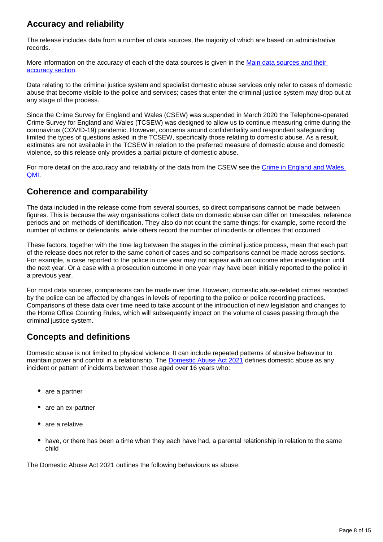### **Accuracy and reliability**

The release includes data from a number of data sources, the majority of which are based on administrative records.

More information on the accuracy of each of the data sources is given in the [Main data sources and their](https://www.ons.gov.uk/peoplepopulationandcommunity/crimeandjustice/methodologies/domesticabuseqmi#methods-used-to-produce-the-domestic-abuse-in-england-and-wales-release)  [accuracy section.](https://www.ons.gov.uk/peoplepopulationandcommunity/crimeandjustice/methodologies/domesticabuseqmi#methods-used-to-produce-the-domestic-abuse-in-england-and-wales-release)

Data relating to the criminal justice system and specialist domestic abuse services only refer to cases of domestic abuse that become visible to the police and services; cases that enter the criminal justice system may drop out at any stage of the process.

Since the Crime Survey for England and Wales (CSEW) was suspended in March 2020 the Telephone-operated Crime Survey for England and Wales (TCSEW) was designed to allow us to continue measuring crime during the coronavirus (COVID-19) pandemic. However, concerns around confidentiality and respondent safeguarding limited the types of questions asked in the TCSEW, specifically those relating to domestic abuse. As a result, estimates are not available in the TCSEW in relation to the preferred measure of domestic abuse and domestic violence, so this release only provides a partial picture of domestic abuse.

For more detail on the accuracy and reliability of the data from the CSEW see the [Crime in England and Wales](https://www.ons.gov.uk/peoplepopulationandcommunity/crimeandjustice/methodologies/crimeinenglandandwalesqmi)  [QMI.](https://www.ons.gov.uk/peoplepopulationandcommunity/crimeandjustice/methodologies/crimeinenglandandwalesqmi)

#### **Coherence and comparability**

The data included in the release come from several sources, so direct comparisons cannot be made between figures. This is because the way organisations collect data on domestic abuse can differ on timescales, reference periods and on methods of identification. They also do not count the same things; for example, some record the number of victims or defendants, while others record the number of incidents or offences that occurred.

These factors, together with the time lag between the stages in the criminal justice process, mean that each part of the release does not refer to the same cohort of cases and so comparisons cannot be made across sections. For example, a case reported to the police in one year may not appear with an outcome after investigation until the next year. Or a case with a prosecution outcome in one year may have been initially reported to the police in a previous year.

For most data sources, comparisons can be made over time. However, domestic abuse-related crimes recorded by the police can be affected by changes in levels of reporting to the police or police recording practices. Comparisons of these data over time need to take account of the introduction of new legislation and changes to the Home Office Counting Rules, which will subsequently impact on the volume of cases passing through the criminal justice system.

### **Concepts and definitions**

Domestic abuse is not limited to physical violence. It can include repeated patterns of abusive behaviour to maintain power and control in a relationship. The [Domestic Abuse Act 2021](https://www.legislation.gov.uk/ukpga/2021/17) defines domestic abuse as any incident or pattern of incidents between those aged over 16 years who:

- are a partner
- are an ex-partner
- are a relative
- have, or there has been a time when they each have had, a parental relationship in relation to the same child

The Domestic Abuse Act 2021 outlines the following behaviours as abuse: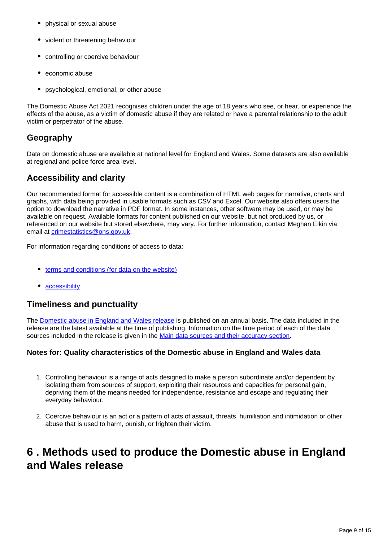- physical or sexual abuse
- violent or threatening behaviour
- controlling or coercive behaviour
- economic abuse
- psychological, emotional, or other abuse

The Domestic Abuse Act 2021 recognises children under the age of 18 years who see, or hear, or experience the effects of the abuse, as a victim of domestic abuse if they are related or have a parental relationship to the adult victim or perpetrator of the abuse.

### **Geography**

Data on domestic abuse are available at national level for England and Wales. Some datasets are also available at regional and police force area level.

### **Accessibility and clarity**

Our recommended format for accessible content is a combination of HTML web pages for narrative, charts and graphs, with data being provided in usable formats such as CSV and Excel. Our website also offers users the option to download the narrative in PDF format. In some instances, other software may be used, or may be available on request. Available formats for content published on our website, but not produced by us, or referenced on our website but stored elsewhere, may vary. For further information, contact Meghan Elkin via email at *[crimestatistics@ons.gov.uk](mailto:crimestatistics@ons.gov.uk).* 

For information regarding conditions of access to data:

- [terms and conditions \(for data on the website\)](http://www.ons.gov.uk/help/termsandconditions)
- [accessibility](http://www.ons.gov.uk/help/accessibility)

#### **Timeliness and punctuality**

The [Domestic abuse in England and Wales release](https://www.ons.gov.uk/peoplepopulationandcommunity/crimeandjustice/bulletins/domesticabuseinenglandandwalesoverview/latest) is published on an annual basis. The data included in the release are the latest available at the time of publishing. Information on the time period of each of the data sources included in the release is given in the [Main data sources and their accuracy section](https://www.ons.gov.uk/peoplepopulationandcommunity/crimeandjustice/methodologies/domesticabuseqmi#methods-used-to-produce-the-domestic-abuse-in-england-and-wales-release).

#### **Notes for: Quality characteristics of the Domestic abuse in England and Wales data**

- 1. Controlling behaviour is a range of acts designed to make a person subordinate and/or dependent by isolating them from sources of support, exploiting their resources and capacities for personal gain, depriving them of the means needed for independence, resistance and escape and regulating their everyday behaviour.
- 2. Coercive behaviour is an act or a pattern of acts of assault, threats, humiliation and intimidation or other abuse that is used to harm, punish, or frighten their victim.

## <span id="page-8-0"></span>**6 . Methods used to produce the Domestic abuse in England and Wales release**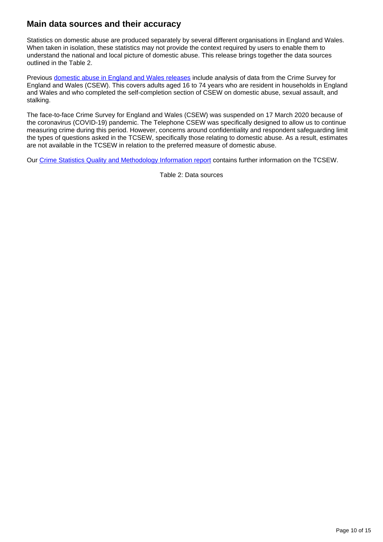### **Main data sources and their accuracy**

Statistics on domestic abuse are produced separately by several different organisations in England and Wales. When taken in isolation, these statistics may not provide the context required by users to enable them to understand the national and local picture of domestic abuse. This release brings together the data sources outlined in the Table 2.

Previous [domestic abuse in England and Wales releases](https://www.ons.gov.uk/peoplepopulationandcommunity/crimeandjustice/bulletins/domesticabuseinenglandandwalesoverview/november2020#domestic-abuse-in-england-and-wales-data) include analysis of data from the Crime Survey for England and Wales (CSEW). This covers adults aged 16 to 74 years who are resident in households in England and Wales and who completed the self-completion section of CSEW on domestic abuse, sexual assault, and stalking.

The face-to-face Crime Survey for England and Wales (CSEW) was suspended on 17 March 2020 because of the coronavirus (COVID-19) pandemic. The Telephone CSEW was specifically designed to allow us to continue measuring crime during this period. However, concerns around confidentiality and respondent safeguarding limit the types of questions asked in the TCSEW, specifically those relating to domestic abuse. As a result, estimates are not available in the TCSEW in relation to the preferred measure of domestic abuse.

Our [Crime Statistics Quality and Methodology Information report](https://www.ons.gov.uk/peoplepopulationandcommunity/crimeandjustice/methodologies/crimeinenglandandwalesqmi) contains further information on the TCSEW.

Table 2: Data sources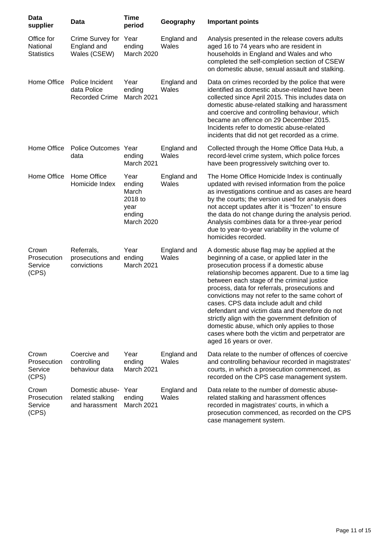| Data<br>supplier                            | Data                                                    | <b>Time</b><br>period                                              | Geography            | <b>Important points</b>                                                                                                                                                                                                                                                                                                                                                                                                                                                                                                                                                                                                   |
|---------------------------------------------|---------------------------------------------------------|--------------------------------------------------------------------|----------------------|---------------------------------------------------------------------------------------------------------------------------------------------------------------------------------------------------------------------------------------------------------------------------------------------------------------------------------------------------------------------------------------------------------------------------------------------------------------------------------------------------------------------------------------------------------------------------------------------------------------------------|
| Office for<br>National<br><b>Statistics</b> | Crime Survey for Year<br>England and<br>Wales (CSEW)    | ending<br>March 2020                                               | England and<br>Wales | Analysis presented in the release covers adults<br>aged 16 to 74 years who are resident in<br>households in England and Wales and who<br>completed the self-completion section of CSEW<br>on domestic abuse, sexual assault and stalking.                                                                                                                                                                                                                                                                                                                                                                                 |
| Home Office                                 | Police Incident<br>data Police<br><b>Recorded Crime</b> | Year<br>ending<br>March 2021                                       | England and<br>Wales | Data on crimes recorded by the police that were<br>identified as domestic abuse-related have been<br>collected since April 2015. This includes data on<br>domestic abuse-related stalking and harassment<br>and coercive and controlling behaviour, which<br>became an offence on 29 December 2015.<br>Incidents refer to domestic abuse-related<br>incidents that did not get recorded as a crime.                                                                                                                                                                                                                       |
| Home Office                                 | Police Outcomes Year<br>data                            | ending<br>March 2021                                               | England and<br>Wales | Collected through the Home Office Data Hub, a<br>record-level crime system, which police forces<br>have been progressively switching over to.                                                                                                                                                                                                                                                                                                                                                                                                                                                                             |
| Home Office                                 | Home Office<br>Homicide Index                           | Year<br>ending<br>March<br>2018 to<br>year<br>ending<br>March 2020 | England and<br>Wales | The Home Office Homicide Index is continually<br>updated with revised information from the police<br>as investigations continue and as cases are heard<br>by the courts; the version used for analysis does<br>not accept updates after it is "frozen" to ensure<br>the data do not change during the analysis period.<br>Analysis combines data for a three-year period<br>due to year-to-year variability in the volume of<br>homicides recorded.                                                                                                                                                                       |
| Crown<br>Prosecution<br>Service<br>(CPS)    | Referrals,<br>prosecutions and ending<br>convictions    | Year<br>March 2021                                                 | England and<br>Wales | A domestic abuse flag may be applied at the<br>beginning of a case, or applied later in the<br>prosecution process if a domestic abuse<br>relationship becomes apparent. Due to a time lag<br>between each stage of the criminal justice<br>process, data for referrals, prosecutions and<br>convictions may not refer to the same cohort of<br>cases. CPS data include adult and child<br>defendant and victim data and therefore do not<br>strictly align with the government definition of<br>domestic abuse, which only applies to those<br>cases where both the victim and perpetrator are<br>aged 16 years or over. |
| Crown<br>Prosecution<br>Service<br>(CPS)    | Coercive and<br>controlling<br>behaviour data           | Year<br>ending<br>March 2021                                       | England and<br>Wales | Data relate to the number of offences of coercive<br>and controlling behaviour recorded in magistrates'<br>courts, in which a prosecution commenced, as<br>recorded on the CPS case management system.                                                                                                                                                                                                                                                                                                                                                                                                                    |
| Crown<br>Prosecution<br>Service<br>(CPS)    | Domestic abuse-<br>related stalking<br>and harassment   | Year<br>ending<br>March 2021                                       | England and<br>Wales | Data relate to the number of domestic abuse-<br>related stalking and harassment offences<br>recorded in magistrates' courts, in which a<br>prosecution commenced, as recorded on the CPS<br>case management system.                                                                                                                                                                                                                                                                                                                                                                                                       |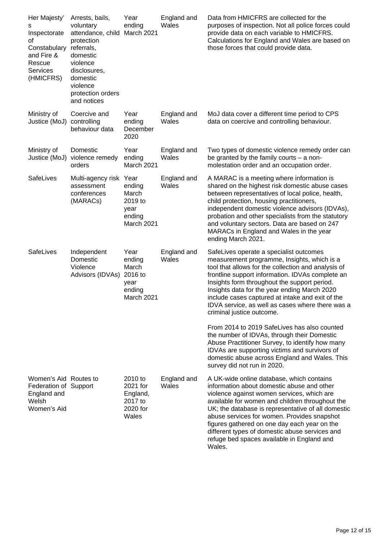| Her Majesty'<br>s<br>Inspectorate<br>οf<br>Constabulary<br>and Fire &<br>Rescue<br><b>Services</b><br>(HMICFRS) | Arrests, bails,<br>voluntary<br>attendance, child<br>protection<br>referrals,<br>domestic<br>violence<br>disclosures,<br>domestic<br>violence<br>protection orders<br>and notices | Year<br>ending<br>March 2021                                       | England and<br>Wales | Data from HMICFRS are collected for the<br>purposes of inspection. Not all police forces could<br>provide data on each variable to HMICFRS.<br>Calculations for England and Wales are based on<br>those forces that could provide data.                                                                                                                                                                                                                 |
|-----------------------------------------------------------------------------------------------------------------|-----------------------------------------------------------------------------------------------------------------------------------------------------------------------------------|--------------------------------------------------------------------|----------------------|---------------------------------------------------------------------------------------------------------------------------------------------------------------------------------------------------------------------------------------------------------------------------------------------------------------------------------------------------------------------------------------------------------------------------------------------------------|
| Ministry of<br>Justice (MoJ)                                                                                    | Coercive and<br>controlling<br>behaviour data                                                                                                                                     | Year<br>ending<br>December<br>2020                                 | England and<br>Wales | MoJ data cover a different time period to CPS<br>data on coercive and controlling behaviour.                                                                                                                                                                                                                                                                                                                                                            |
| Ministry of<br>Justice (MoJ)                                                                                    | Domestic<br>violence remedy<br>orders                                                                                                                                             | Year<br>ending<br>March 2021                                       | England and<br>Wales | Two types of domestic violence remedy order can<br>be granted by the family courts $-$ a non-<br>molestation order and an occupation order.                                                                                                                                                                                                                                                                                                             |
| SafeLives                                                                                                       | Multi-agency risk Year<br>assessment<br>conferences<br>(MARACs)                                                                                                                   | ending<br>March<br>2019 to<br>year<br>ending<br>March 2021         | England and<br>Wales | A MARAC is a meeting where information is<br>shared on the highest risk domestic abuse cases<br>between representatives of local police, health,<br>child protection, housing practitioners,<br>independent domestic violence advisors (IDVAs),<br>probation and other specialists from the statutory<br>and voluntary sectors. Data are based on 247<br>MARACs in England and Wales in the year<br>ending March 2021.                                  |
| SafeLives                                                                                                       | Independent<br>Domestic<br>Violence<br>Advisors (IDVAs)                                                                                                                           | Year<br>ending<br>March<br>2016 to<br>year<br>ending<br>March 2021 | England and<br>Wales | SafeLives operate a specialist outcomes<br>measurement programme, Insights, which is a<br>tool that allows for the collection and analysis of<br>frontline support information. IDVAs complete an<br>Insights form throughout the support period.<br>Insights data for the year ending March 2020<br>include cases captured at intake and exit of the<br>IDVA service, as well as cases where there was a<br>criminal justice outcome.                  |
|                                                                                                                 |                                                                                                                                                                                   |                                                                    |                      | From 2014 to 2019 SafeLives has also counted<br>the number of IDVAs, through their Domestic<br>Abuse Practitioner Survey, to identify how many<br>IDVAs are supporting victims and survivors of<br>domestic abuse across England and Wales. This<br>survey did not run in 2020.                                                                                                                                                                         |
| Women's Aid Routes to<br>Federation of Support<br>England and<br>Welsh<br>Women's Aid                           |                                                                                                                                                                                   | 2010 to<br>2021 for<br>England,<br>2017 to<br>2020 for<br>Wales    | England and<br>Wales | A UK-wide online database, which contains<br>information about domestic abuse and other<br>violence against women services, which are<br>available for women and children throughout the<br>UK; the database is representative of all domestic<br>abuse services for women. Provides snapshot<br>figures gathered on one day each year on the<br>different types of domestic abuse services and<br>refuge bed spaces available in England and<br>Wales. |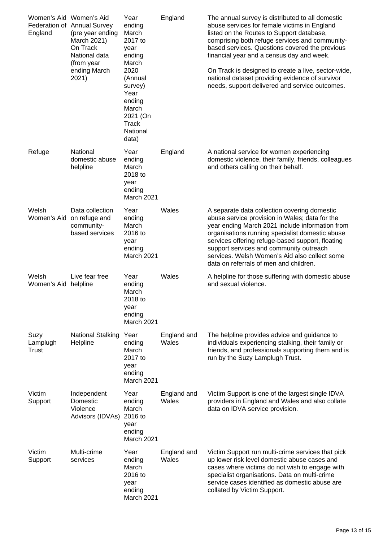| Women's Aid Women's Aid<br>England | Federation of Annual Survey<br>(pre year ending<br>March 2021)<br>On Track<br>National data<br>(from year<br>ending March<br>2021) | Year<br>ending<br>March<br>2017 to<br>year<br>ending<br>March<br>2020<br>(Annual<br>survey)<br>Year<br>ending<br>March<br>2021 (On<br><b>Track</b><br>National<br>data) | England              | The annual survey is distributed to all domestic<br>abuse services for female victims in England<br>listed on the Routes to Support database,<br>comprising both refuge services and community-<br>based services. Questions covered the previous<br>financial year and a census day and week.<br>On Track is designed to create a live, sector-wide,<br>national dataset providing evidence of survivor<br>needs, support delivered and service outcomes. |
|------------------------------------|------------------------------------------------------------------------------------------------------------------------------------|-------------------------------------------------------------------------------------------------------------------------------------------------------------------------|----------------------|------------------------------------------------------------------------------------------------------------------------------------------------------------------------------------------------------------------------------------------------------------------------------------------------------------------------------------------------------------------------------------------------------------------------------------------------------------|
| Refuge                             | National<br>domestic abuse<br>helpline                                                                                             | Year<br>ending<br>March<br>2018 to<br>year<br>ending<br>March 2021                                                                                                      | England              | A national service for women experiencing<br>domestic violence, their family, friends, colleagues<br>and others calling on their behalf.                                                                                                                                                                                                                                                                                                                   |
| Welsh<br>Women's Aid               | Data collection<br>on refuge and<br>community-<br>based services                                                                   | Year<br>ending<br>March<br>2016 to<br>year<br>ending<br>March 2021                                                                                                      | Wales                | A separate data collection covering domestic<br>abuse service provision in Wales; data for the<br>year ending March 2021 include information from<br>organisations running specialist domestic abuse<br>services offering refuge-based support, floating<br>support services and community outreach<br>services. Welsh Women's Aid also collect some<br>data on referrals of men and children.                                                             |
| Welsh<br>Women's Aid helpline      | Live fear free                                                                                                                     | Year<br>ending<br>March<br>2018 to<br>year<br>ending<br>March 2021                                                                                                      | Wales                | A helpline for those suffering with domestic abuse<br>and sexual violence.                                                                                                                                                                                                                                                                                                                                                                                 |
| Suzy<br>Lamplugh<br>Trust          | <b>National Stalking</b><br>Helpline                                                                                               | Year<br>ending<br>March<br>2017 to<br>year<br>ending<br>March 2021                                                                                                      | England and<br>Wales | The helpline provides advice and guidance to<br>individuals experiencing stalking, their family or<br>friends, and professionals supporting them and is<br>run by the Suzy Lamplugh Trust.                                                                                                                                                                                                                                                                 |
| Victim<br>Support                  | Independent<br>Domestic<br>Violence<br>Advisors (IDVAs) 2016 to                                                                    | Year<br>ending<br>March<br>year<br>ending<br>March 2021                                                                                                                 | England and<br>Wales | Victim Support is one of the largest single IDVA<br>providers in England and Wales and also collate<br>data on IDVA service provision.                                                                                                                                                                                                                                                                                                                     |
| Victim<br>Support                  | Multi-crime<br>services                                                                                                            | Year<br>ending<br>March<br>2016 to<br>year<br>ending<br>March 2021                                                                                                      | England and<br>Wales | Victim Support run multi-crime services that pick<br>up lower risk level domestic abuse cases and<br>cases where victims do not wish to engage with<br>specialist organisations. Data on multi-crime<br>service cases identified as domestic abuse are<br>collated by Victim Support.                                                                                                                                                                      |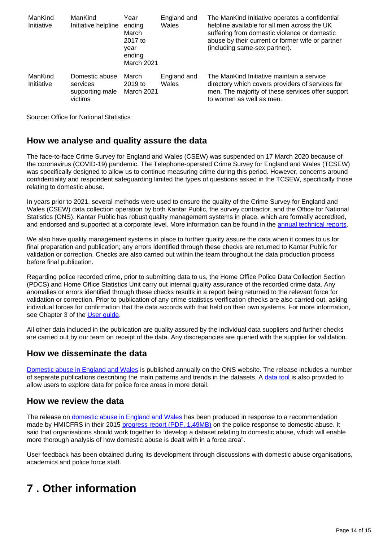| ManKind<br>Initiative | ManKind<br>Initiative helpline                           | Year<br>ending<br>March<br>2017 to<br>vear<br>ending<br>March 2021 | England and<br>Wales | The ManKind Initiative operates a confidential<br>helpline available for all men across the UK<br>suffering from domestic violence or domestic<br>abuse by their current or former wife or partner<br>(including same-sex partner). |
|-----------------------|----------------------------------------------------------|--------------------------------------------------------------------|----------------------|-------------------------------------------------------------------------------------------------------------------------------------------------------------------------------------------------------------------------------------|
| ManKind<br>Initiative | Domestic abuse<br>services<br>supporting male<br>victims | March<br>$2019$ to<br>March 2021                                   | England and<br>Wales | The ManKind Initiative maintain a service<br>directory which covers providers of services for<br>men. The majority of these services offer support<br>to women as well as men.                                                      |

Source: Office for National Statistics

#### **How we analyse and quality assure the data**

The face-to-face Crime Survey for England and Wales (CSEW) was suspended on 17 March 2020 because of the coronavirus (COVID-19) pandemic. The Telephone-operated Crime Survey for England and Wales (TCSEW) was specifically designed to allow us to continue measuring crime during this period. However, concerns around confidentiality and respondent safeguarding limited the types of questions asked in the TCSEW, specifically those relating to domestic abuse.

In years prior to 2021, several methods were used to ensure the quality of the Crime Survey for England and Wales (CSEW) data collection operation by both Kantar Public, the survey contractor, and the Office for National Statistics (ONS). Kantar Public has robust quality management systems in place, which are formally accredited, and endorsed and supported at a corporate level. More information can be found in the [annual technical reports.](https://www.ons.gov.uk/peoplepopulationandcommunity/crimeandjustice/methodologies/crimeandjusticemethodology)

We also have quality management systems in place to further quality assure the data when it comes to us for final preparation and publication; any errors identified through these checks are returned to Kantar Public for validation or correction. Checks are also carried out within the team throughout the data production process before final publication.

Regarding police recorded crime, prior to submitting data to us, the Home Office Police Data Collection Section (PDCS) and Home Office Statistics Unit carry out internal quality assurance of the recorded crime data. Any anomalies or errors identified through these checks results in a report being returned to the relevant force for validation or correction. Prior to publication of any crime statistics verification checks are also carried out, asking individual forces for confirmation that the data accords with that held on their own systems. For more information, see Chapter 3 of the [User guide](https://www.ons.gov.uk/peoplepopulationandcommunity/crimeandjustice/methodologies/userguidetocrimestatisticsforenglandandwalesmeasuringcrimeduringthecoronaviruscovid19pandemic#police-recorded-crime).

All other data included in the publication are quality assured by the individual data suppliers and further checks are carried out by our team on receipt of the data. Any discrepancies are queried with the supplier for validation.

#### **How we disseminate the data**

[Domestic abuse in England and Wales](https://www.ons.gov.uk/peoplepopulationandcommunity/crimeandjustice/bulletins/domesticabuseinenglandandwalesoverview/latest) is published annually on the ONS website. The release includes a number of separate publications describing the main patterns and trends in the datasets. A [data tool](https://www.ons.gov.uk/peoplepopulationandcommunity/crimeandjustice/datasets/domesticabuseinenglandandwalesdatatool) is also provided to allow users to explore data for police force areas in more detail.

#### **How we review the data**

The release on [domestic abuse in England and Wales](https://www.ons.gov.uk/peoplepopulationandcommunity/crimeandjustice/bulletins/domesticabuseinenglandandwalesoverview/latest) has been produced in response to a recommendation made by HMICFRS in their 2015 [progress report \(PDF, 1.49MB\)](http://www.justiceinspectorates.gov.uk/hmic/wp-content/uploads/increasingly-everyones-business-domestic-abuse-progress-report.pdf) on the police response to domestic abuse. It said that organisations should work together to "develop a dataset relating to domestic abuse, which will enable more thorough analysis of how domestic abuse is dealt with in a force area".

User feedback has been obtained during its development through discussions with domestic abuse organisations, academics and police force staff.

## <span id="page-13-0"></span>**7 . Other information**